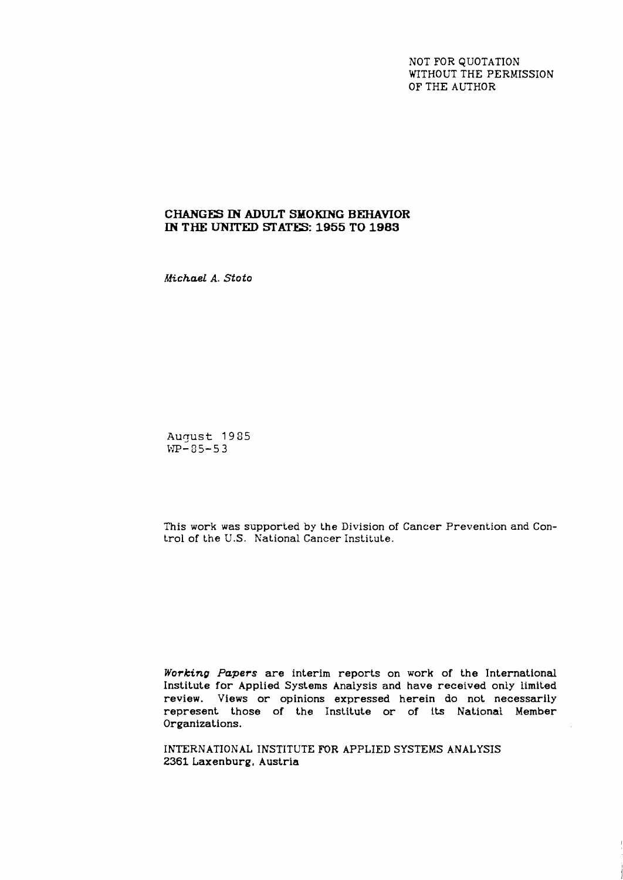NOT FOR QUOTATION WITHOUT THE PERMISSION OF THE AUTHOR

# **CHANGES IN ADULT SMOKING BEHAVIOR IN THE UNITED SATES: 1955 TO 1983**

*MzchaeL A. Stoto* 

August 1985  $WP - 85 - 53$ 

This work was supported by the Division of Cancer Prevention and Control of the U.S. National Cancer Institute.

*Working Papers* are interim reports on work of the International Institute for Applied Systems Analysis and have received only limited review. Views or opinions expressed herein do not necessarily represent those of the Institute or of its National Member Organizations.

INTERNATIONAL INSTITUTE FOR APPLIED SYSTEMS ANALYSIS 2361 Laxenburg, Austria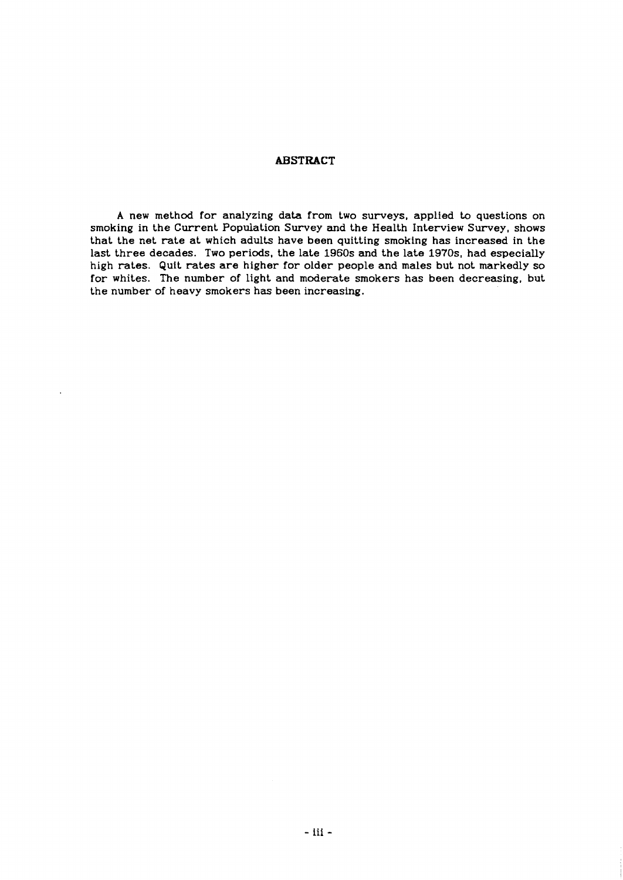## **ABSTRACT**

A new method for analyzing data from two surveys, applied to questions on smoking in the Current Population Survey and the Health Interview Survey, shows that the net rate at which adults have been quitting smoking has increased in the last three decades. Two periods, the late 1960s and the late 1970s, had especially high rates. Quit rates are higher for older people and males but not markedly so for whites. The number of light and moderate smokers has been decreasing, but the number of heavy smokers has been increasing.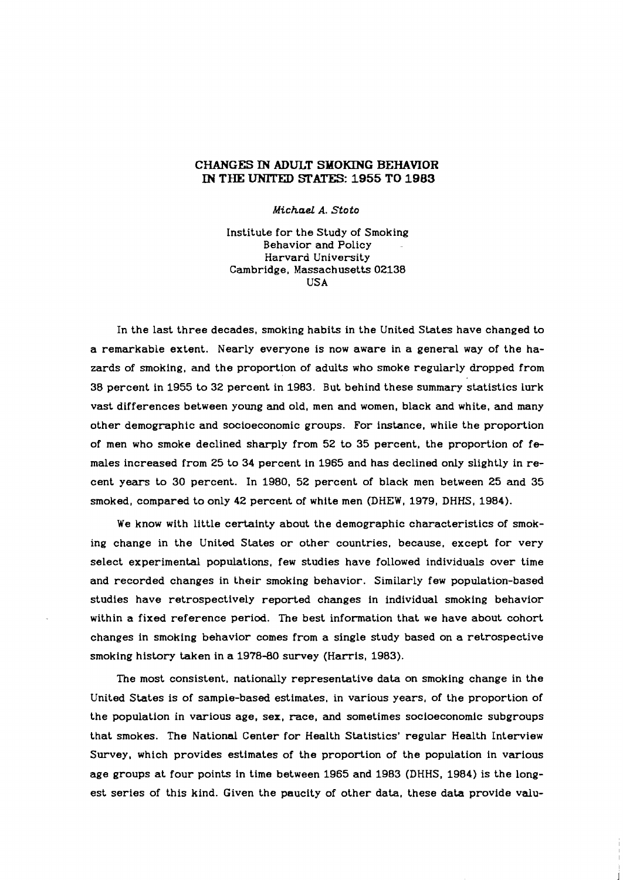## **CHANGES IN ADULT SMOKING BEHAVIOR IN THE UNITED STATES: 1955 TO 1983**

*Michael* A. Stoto

Institute for the Study of Smoking Behavior and Policy Harvard University Cambridge, Massachusetts **02138**  USA

In the last three decades, smoking habits in the United States have changed to a remarkable extent. Nearly everyone is now aware in a general way of the hazards of smoking, and the proportion of adults who smoke regularly dropped from **38** percent in **1955** to **32** percent in **1983.** But behind these summary statistics lurk vast differences between young and old, men and women, black and white, and many other demographic and socioeconomic groups. For instance, while the proportion of men who smoke declined sharply from **52** to **35** percent, the proportion of females increased from **25** to **34** percent in **1965** and has declined only slightly in recent years to **30** percent. In **1980, 52** percent of black men between **25** and **35**  smoked, compared to only **42** percent of white men (DHEW, **1979,** DHHS, **1984).** 

We know with little certainty about the demographic characteristics of smoking change in the United States or other countries, because, except for very select experimental populations, few studies have followed individuals over time and recorded changes in their smoking behavior. Similarly few population-based studies have retrospectively reported changes in individual smoking behavior within a fixed reference period. The best information that we have about cohort changes in smoking behavior comes from a single study based on a retrospective smoking history taken in a **1978-80** survey (Harris, **1983).** 

The most consistent, nationally representative data on smoking change in the United States is of sample-based estimates, in various years, of the proportion of the population in various age, sex, race, and sometimes socioeconomic subgroups that smokes. The National Center for Health Statistics' regular Health Interview Survey, which provides estimates of the proportion of the population in various age groups at four points in time between **1965** and **1983** (DHHS, **1984)** is the longest series of this kind. Given the paucity of other data, these data provide valu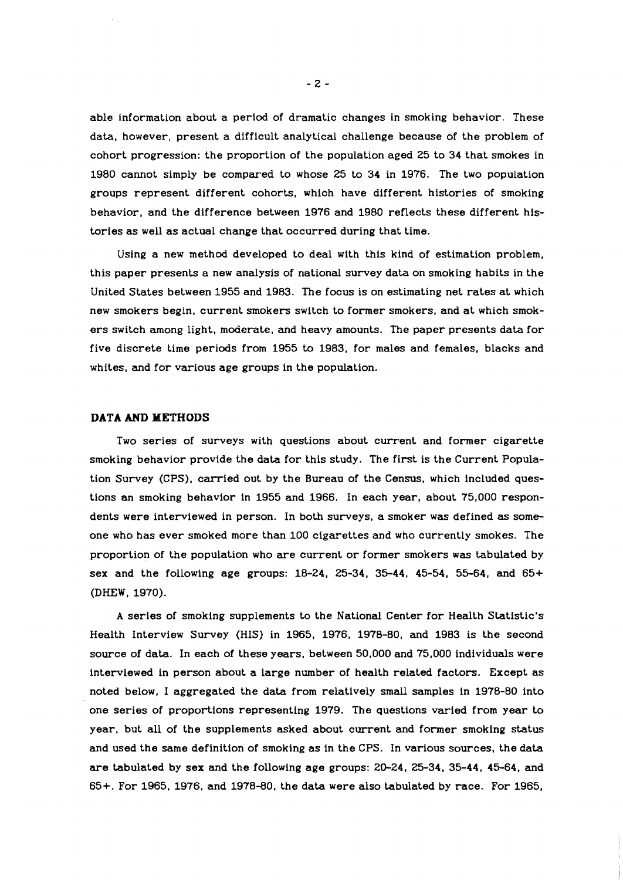able information about a period of dramatic changes in smoking behavior. These data, however, present a difficult analytical challenge because of the problem of cohort progression: the proportion of the population aged **25** to **34** that smokes in **1980** cannot simply be compared to whose **25** to **34** in **1976.** The two population groups represent different cohorts, which have different histories of smoking behavior, and the difference between **1976** and **1980** reflects these different histories as well as actual change that occurred during that time.

Using a new method developed to deal with this kind of estimation problem, this paper presents a new analysis of national survey data on smoking habits in the United States between **1955** and **1983.** The focus is on estimating net rates at which new smokers begin, current smokers switch to former smokers, and at which smokers switch among light, moderate, and heavy amounts. The paper presents data for five discrete time periods from **1955** to **1983,** for males and females, blacks and whites, and for various age groups in the population.

### **DATA AND METHODS**

Two series of surveys with questions about current and former cigarette smoking behavior provide the data for this study. The first is the Current Population Survey (CPS), carried out by the Bureau of the Census, which included questions an smoking behavior in **1955** and **1966.** In each year, about **75,000** respondents were interviewed in person. In both surveys, a smoker was defined as someone who has ever smoked more than **100** cigarettes and who currently smokes. The proportion of the population who are current or former smokers was tabulated by sex and the following age groups: **18-24, 25-34, 35-44, 45-54, 55-64,** and **65+**  (DHEW, **1970).** 

A series of smoking supplements to the National Center for Health Statistic's Health Interview Survey (HIS) in **1965, 1976, 1978-80,** and **1983** is the second source of data. In each of these years, between **50,000** and **75,000** individuals were interviewed in person about a large number of health related factors. Except as noted below, I aggregated the data from relatively small samples in **1978-80** into one series of proportions representing **1979.** The questions varied from year to year, but all of the supplements asked about current and former smoking status and used the same definition of smoking as in the CPS. In various sources, the data are tabulated by sex and the following age groups: **20-24, 25-34, 35-44, 45-64,** and **65+.** For **1965, 1976,** and **1978-80,** the data were also tabulated by race. For **1965,**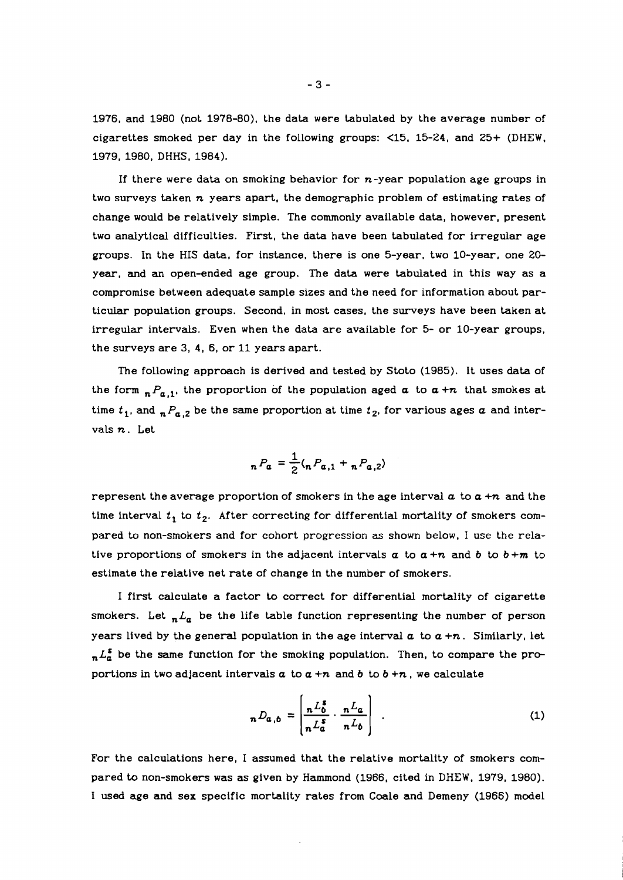1976, and 1980 (not 1978-80), the data were tabulated by the average number of cigarettes smoked per day in the following groups: <15, 15-24, and 25+ (DHEW, 1979, 1980, DHHS, 1984).

If there were data on smoking behavior for  $n$ -year population age groups in two surveys taken **n** years apart, the demographic problem of estimating rates of change would be relatively simple. The commonly available data, however, present two analytical difficulties. First, the data have been tabulated for irregular age groups. In the HIS data, for instance, there is one 5-year, two 10-year, one **20**  year, and an open-ended age group. The data were tabulated in this way as a compromise between adequate sample sizes and the need for information about particular population groups. Second, in most cases, the surveys have been taken at irregular intervals. Even when the data are available for 5- or 10-year groups, the surveys are 3, 4, 6, or 11 years apart.

The following approach is derived and tested by Stoto (1985). It uses data of the form  $P_{a,1}$ , the proportion of the population aged  $a$  to  $a + n$  that smokes at time  $t_1$ , and  $n P_{a,2}$  be the same proportion at time  $t_2$ , for various ages a and intervals **n.** Let

$$
{}_{n}P_{a} = \frac{1}{2} ({}_{n}P_{a,1} + {}_{n}P_{a,2})
$$

represent the average proportion of smokers in the age interval a to a **+n** and the time interval  $t_1$  to  $t_2$ . After correcting for differential mortality of smokers compared to non-smokers and for cohort progression as shown below, I use the relative proportions of smokers in the adjacent intervals  $a$  to  $a+n$  and  $b$  to  $b+m$  to estimate the relative net rate of change in the number of smokers.

I first calculate a factor to correct for differential mortality of cigarette smokers. Let  $L_a$  be the life table function representing the number of person years lived by the general population in the age interval  $\alpha$  to  $\alpha + n$ . Similarly, let  $L_{a}^{2}$  be the same function for the smoking population. Then, to compare the proportions in two adjacent intervals  $a$  to  $a + n$  and  $b$  to  $b + n$ , we calculate

$$
n D_{a,b} = \left[ \frac{n L_b^s}{n L_a^s} \cdot \frac{n L_a}{n L_b} \right] \quad . \tag{1}
$$

For the calculations here, I assumed that the relative mortality of smokers compared to non-smokers was as given by Hammond (1966, cited in DHEW, 1979, 1980). I used age and sex specific mortality rates from Coale and Demeny (1966) model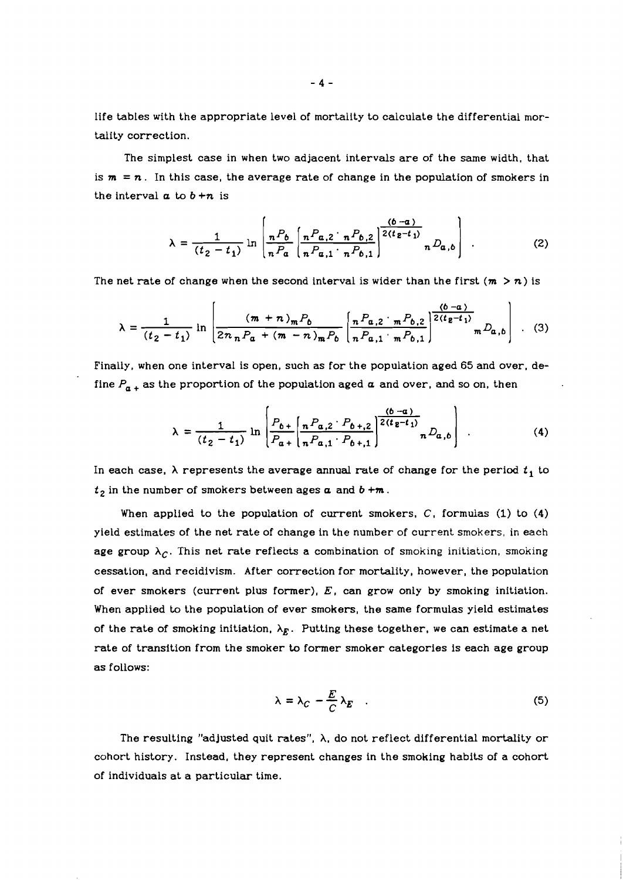life tables with the appropriate level of mortality to calculate the differential mortality correction.

The simplest case in when two adjacent intervals are of the same width, that is  $m = n$ . In this case, the average rate of change in the population of smokers in the interval  $a$  to  $b + n$  is

$$
\lambda = \frac{1}{(t_2 - t_1)} \ln \left[ \frac{{}_nP_b}{_nP_a} \left[ \frac{{}_nP_{a,2} \cdot {}_nP_{b,2}}{_nP_{a,1} \cdot {}_nP_{b,1}} \right]^{2(t_2 - t_1)} {}_nD_{a,b} \right] \tag{2}
$$

The net rate of change when the second interval is wider than the first  $(m > n)$  is

$$
\lambda = \frac{1}{(t_2 - t_1)} \ln \left[ \frac{(m + n)_m P_b}{2n_n P_a + (m - n)_m P_b} \left[ \frac{n P_{a,2} \cdot {}_{m} P_{b,2}}{n P_{a,1} \cdot {}_{m} P_{b,1}} \right]^{ \frac{(b - a)}{2(t_2 - t_1)}} m D_{a,b} \right] \quad . \tag{3}
$$

Finally, when one interval is open, such as for the population aged 65 and over, define  $P_{n+}$  as the proportion of the population aged  $\alpha$  and over, and so on, then

$$
\lambda = \frac{1}{(t_2 - t_1)} \ln \left[ \frac{P_{b+}}{P_{a+}} \left[ \frac{R_{a,2} \cdot P_{b+,2}}{R_{a,1} \cdot P_{b+,1}} \right] \frac{(b-a)}{2(t_2 - t_1)} \right] \tag{4}
$$

In each case,  $\lambda$  represents the average annual rate of change for the period  $t_1$  to  $t_2$  in the number of smokers between ages  $a$  and  $b + m$ .

When applied to the population of current smokers, **C,** formulas (1) to (4) yield estimates of the net rate of change in the number of current smokers, in each age group  $\lambda_c$ . This net rate reflects a combination of smoking initiation, smoking cessation, and recidivism. After correction for mortality, however, the population of ever smokers (current plus former),  $E$ , can grow only by smoking initiation. When applied to the population of ever smokers, the same formulas yield estimates of the rate of smoking initiation,  $\lambda_E$ . Putting these together, we can estimate a net rate of transition from the smoker to former smoker categories is each age group as follows:

$$
\lambda = \lambda_C - \frac{E}{C} \lambda_E \quad . \tag{5}
$$

The resulting "adjusted quit rates", A, do not reflect differential mortality or cohort history. Instead, they represent changes in the smoking habits of a cohort of individuals at a particular time.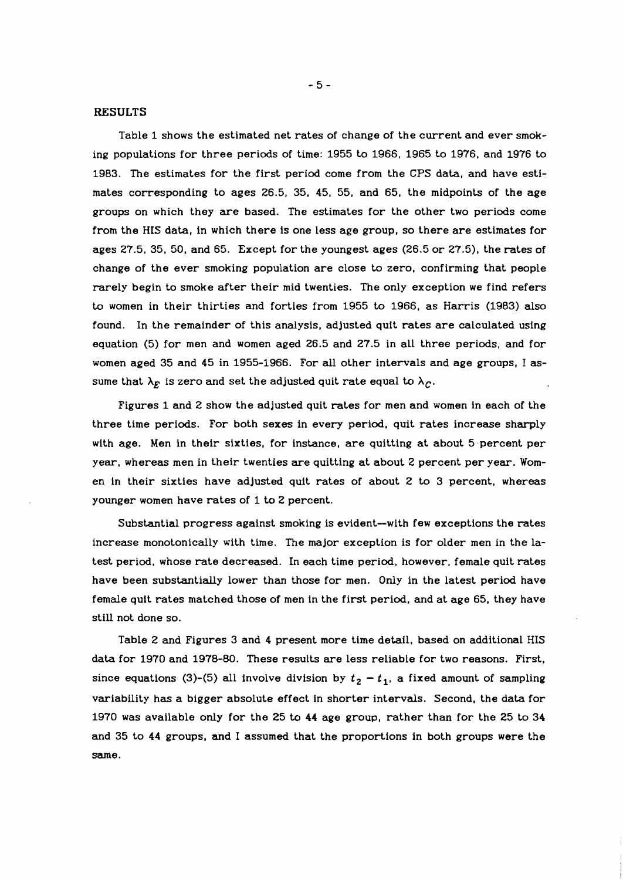### **RESULTS**

Table **1** shows the estimated net rates of change of the current and ever smoking populations for three periods of time: **1955** to **1966, 1965** to **1976,** and **1976** to **1983.** The estimates for the first period come from the CPS data, and have estimates corresponding to ages **26.5, 35, 45, 55,** and **65,** the midpoints of the age groups on which they are based. The estimates for the other two periods come from the HIS data, in which there is one less age group, so there are estimates for ages **27.5, 35, 50,** and **65.** Except for the youngest ages **(26.5** or **27.5),** the rates of change of the ever smoking population are close to zero, confirming that people rarely begin to smoke after their mid twenties. The only exception we find refers to women in their thirties and forties from **1955** to **1966,** as Harris **(1983)** also found. In the remainder of this analysis, adjusted quit rates are calculated using equation **(5)** for men and women aged **26.5** and **27.5** in all three periods, and for women aged **35** and **45** in **1955-1966.** For **all** other intervals and age groups, I **as**sume that  $\lambda_E$  is zero and set the adjusted quit rate equal to  $\lambda_C$ .

Figures **1** and **2** show the adjusted quit rates for men and women in each of the three time periods. For both sexes in every period. quit rates increase sharply with age. Men in their sixties, for instance, are quitting at about 5 percent per year, whereas men in their twenties are quitting at about **2** percent per year. Women in their sixties have adjusted quit rates of about **2** to **3** percent, whereas younger women have rates of **1** to **2** percent.

Substantial progress against smoking is evident-with few exceptions the rates increase monotonically with time. The major exception is for older men in the latest period, whose rate decreased. In each time period, however, female quit rates have been substantially lower than those for men. Only in the latest period have female quit rates matched those of men in the first period, and at age **65,** they have still not done so.

Table **2** and Figures **3** and **4** present more time detail, based on additional HIS data for **1970** and **1978-80.** These results are less reliable for two reasons. First, since equations (3)-(5) all involve division by  $t_2 - t_1$ , a fixed amount of sampling variability has a bigger absolute effect in shorter intervals. Second, the data for **1970** was available only for the **25** to **44** age group, rather than for the **25** to **34**  and **35** to **44** groups, and **I** assumed that the proportions in both groups were the same.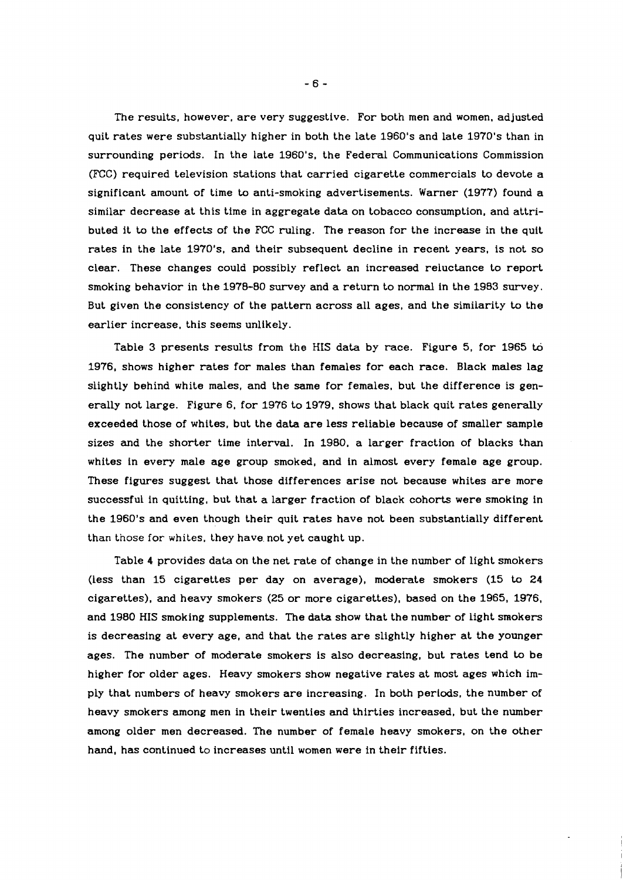The results, however, are very suggestive. For both men and women, adjusted quit rates were substantially higher in both the late 1960's and late 1970's than in surrounding periods. In the late 1960's, the Federal Communications Commission (KC) required television stations that carried cigarette commercials to devote a significant amount of time to anti-smoking advertisements. Warner (1977) found a similar decrease at this time in aggregate data on tobacco consumption, and attributed it to the effects of the FCC ruling. The reason for the increase in the quit rates in the late 1970's, and their subsequent decline in recent years, is not so clear. These changes could possibly reflect an increased reluctance to report smoking behavior in the 1978-80 survey and a return to normal in the 1983 survey. But given the consistency of the pattern across all ages, and the similarity to the earlier increase, this seems unlikely.

Table 3 presents results from the **HIS** data by race. Figure 5, for 1965 **td**  1976, shows higher rates for males than females for each race. Black males lag slightly behind white males, and the same for females, but the difference is generally not large. Figure 6, for 1976 to 1979, shows that black quit rates generally exceeded those of whites, but the data are less reliable because of smaller sample sizes and the shorter time interval. In 1980, a larger fraction of blacks than whites in every male age group smoked, and in almost every female age group. These figures suggest that those differences arise not because whites are more successful in quitting, but that a larger fraction of black cohorts were smoking in the 1960's and even though their quit rates have not been substantially different than those for whites, they have not yet caught up.

Table 4 provides data on the net rate of change in the number of light smokers (less than 15 cigarettes per day on average), moderate smokers (15 to 24 cigarettes), and heavy smokers (25 or more cigarettes), based on the 1965, 1976, and 1980 HIS smoking supplements. The data show that the number of light smokers is decreasing at every age, and that the rates are slightly higher at the younger ages. The number of moderate smokers is also decreasing, but rates tend **to** be higher for older ages. Heavy smokers show negative rates at most ages which imply that numbers of heavy smokers are increasing. In both periods, the number of heavy smokers among men in their twenties and thirties increased, but the number among older men decreased. The number of female heavy smokers, on the other hand, has continued to increases until women were in their fifties.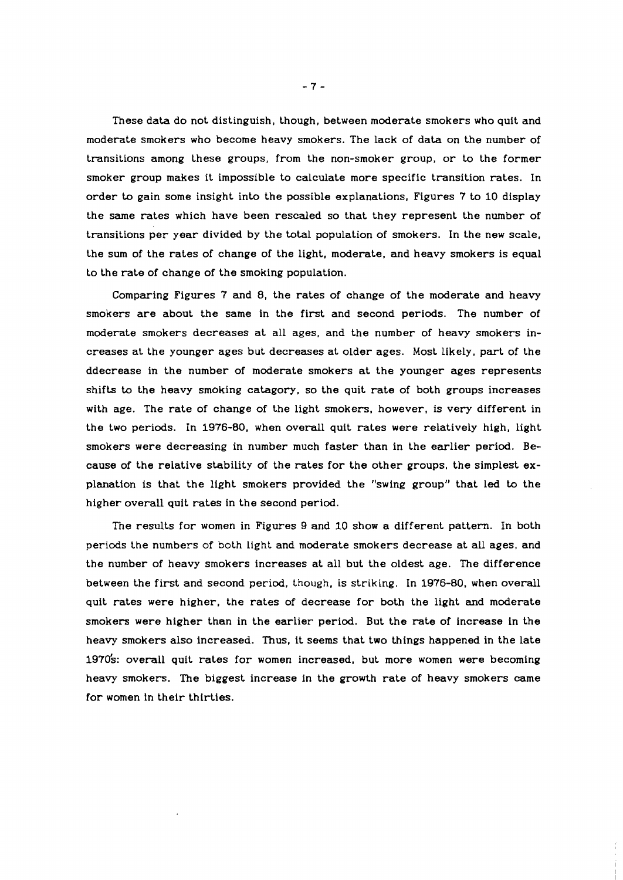These data do not distinguish, though, between moderate smokers who quit and moderate smokers who become heavy smokers. The lack of data on the number of transitions among these groups, from the non-smoker group, or to the former smoker group makes it impossible to calculate more specific transition rates. In order to gain some insight into the possible explanations, Figures 7 to 10 display the same rates which have been rescaled so that they represent the number of transitions per year divided by the total population of smokers. In the new scale, the sum of the rates of change of the light, moderate, and heavy smokers is equal to the rate of change of the smoking population.

Comparing Figures 7 and 8, the rates of change of the moderate and heavy smokers are about the same in the first and second periods. The number of moderate smokers decreases at all ages, and the number of heavy smokers increases at the younger ages but decreases at older ages. Most Likely, part of the ddecrease in the number of moderate smokers at the younger ages represents shifts to the heavy smoking catagory, so the quit rate of both groups increases with age. The rate of change of the light smokers, however, is very different in the two periods. In 1976-80, when overall quit rates were relatively high, light smokers were decreasing in number much faster than in the earlier period. Because of the relative stability of the rates for the other groups, the simplest explanation is that the light smokers provided the "swing group" that led to the higher overall quit rates in the second period.

The results for women in Figures 9 and 10 show a different pattern. In both periods the numbers of both light and moderate smokers decrease at all ages, and the number of heavy smokers increases at all but the oldest age. The difference between the first and second period, though, is striking. In 1976-80, when overall quit rates were higher, the rates of decrease for both the light and moderate smokers were higher than in the earlier period. But the rate of increase in the heavy smokers also increased. Thus, it seems that two things happened in the late 1970's: overall quit rates for women increased, but more women were becoming heavy smokers. The biggest increase in the growth rate of heavy smokers came for women ln their thirties.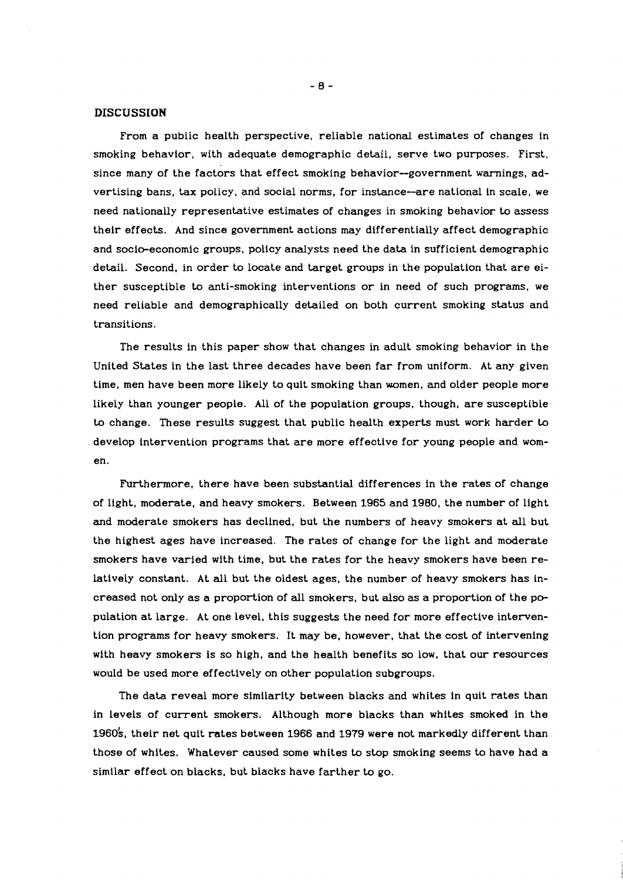### **DISCUSSION**

From a public health perspective, reliable national estimates of changes in smoking behavior, with adequate demographic detail, serve two purposes. First, since many of the factors that effect smoking behavior-government warnings, advertising bans, **tax** policy, and social norms, for instance--are national in scale, we need nationally representative estimates of changes in smoking behavior to assess their effects. And since government actions may differentially affect demographic and socio-economic groups, policy analysts need the data in sufficient demographic detail. Second, in order to locate and target groups in the population that are either susceptible to anti-smoking interventions or in need of such programs, we need reliable and demographically detailed on both current smoking status and transitions.

The results in this paper show that changes in adult smoking behavior in the United States in the last three decades have been far from uniform. At any given time, men have been more likely to quit smoking than women, and older people more likely than younger people. All of the population groups, though, are susceptible to change. These results suggest that public health experts must work harder to develop intervention programs that are more effective for young people and women.

Furthermore, there have been substantial differences in the rates of change of light, moderate, and heavy smokers. Between 1965 and 1980, the number of light and moderate smokers has declined, but the numbers of heavy smokers at all but the highest ages have increased. The rates of change for the light and moderate smokers have varied with time, but the rates for the heavy smokers have been relatively constant. At all but the oldest ages, the number of heavy smokers has increased not only as a proportion of all smokers, but also as a proportion of the population at large. At one level, this suggests the need for more effective intervention programs for heavy smokers. It may be, however, that the cost of intervening with heavy smokers is so high, and the health benefits so low, that our resources would be used more effectively on other population subgroups.

The data reveal more similarity between blacks and whites in quit rates than in levels of current smokers. Although more blacks than whites smoked in the 1960's, their net quit rates between 1966 and 1979 were not markedly different than those of whites. Whatever caused some whites to stop smoking seems to have had a similar effect on blacks, but blacks have farther to go.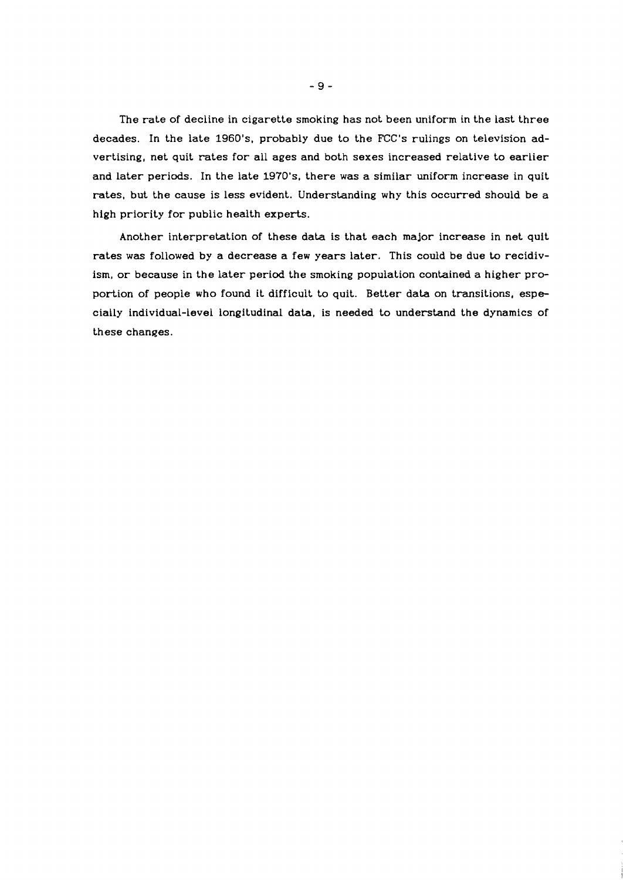The rate of decline in cigarette smoking has not been uniform in the last three decades. In the late 1960's, probably due to the FCC's rulings on television advertising, net quit rates for all ages and both sexes increased relative to earlier and later periods. In the late 1970's. there was a similar uniform increase in quit rates, but the cause is less evident. Understanding why this occurred should be a high priority for public health experts.

Another interpretation of these data is that each major increase in net quit rates was followed by a decrease a few years later. This could be due to recidivism, or because in the later period the smoking population contained a higher proportion of people who found it difficult to quit. Better data on transitions, especially individual-level longitudinal data, is needed to understand the dynamics of these changes.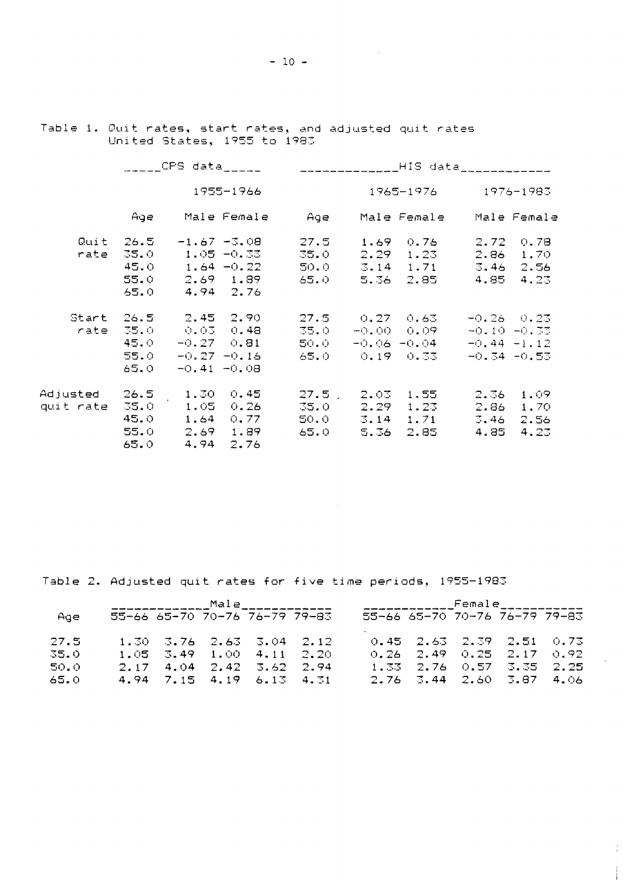Table 1. Quit rates, start rates, and adjusted quit rates United States, 1955 to 1983

|                         | $CFS$ data_____ |                      |                |                                               |                | _______________HIS data_____________ |                |      |
|-------------------------|-----------------|----------------------|----------------|-----------------------------------------------|----------------|--------------------------------------|----------------|------|
|                         | 1955-1966       |                      |                |                                               | 1965-1976 - 19 |                                      | 1976-1983      |      |
|                         | Age             |                      |                | Male Female – Age – Male Female – Male Female |                |                                      |                |      |
|                         | $Quit = 26.5$   |                      | $-1.67 - 3.08$ | 27.5                                          |                | 1.690.76                             | 2.72 0.78      |      |
| rate                    | 35.0            |                      | $1.05 - 0.33$  | 35.0 -                                        |                | $2.29$ $1.23$                        | $2.86$ 1.70    |      |
|                         | 45.0            |                      | $1.64 - 0.22$  | 50.0 -                                        |                | $3.14$ 1.71                          | 3.46 2.56      |      |
|                         | 55.0            |                      | $2.69$ 1.89    | 65.0 -                                        |                | 5.36 2.85 -                          | 4.85 4.23      |      |
|                         | 65.0            |                      | 4.94 2.76      |                                               |                |                                      |                |      |
|                         |                 | Start 26.5 2.45 2.90 |                |                                               |                | $27.5$ 0.27 0.63                     | $-0.26 - 0.23$ |      |
|                         | $rate = 35.0$   | 0.03 0.48            |                | 35.0                                          |                | -0.00 0.09 -                         | $-0.10 - 0.33$ |      |
|                         | 45.0            |                      | $-0.27$ $0.81$ | 50.0 -                                        |                | $-0.06 - 0.04$                       | $-0.44 - 1.12$ |      |
|                         | 55.0            |                      | $-0.27 - 0.16$ |                                               |                | 65.0 0.19 0.33 -                     | $-0.34 -0.53$  |      |
|                         | 65.0            | $-0.41 - 0.08$       |                |                                               |                |                                      |                |      |
| Adjusted 26.5 1.30 0.45 |                 |                      |                | $27.5$ $2.03$ $1.55$                          |                |                                      | $2.36 - 1.09$  |      |
| quit rate 35.0          |                 | $1.05 - 0.26$        |                | 35.0                                          |                | $2.29$ 1.23                          | $2.86 - 1.70$  |      |
|                         | 45.0            | $1.64$ 0.77          |                | 50.0                                          |                | $3.14$ 1.71                          | 3.46           | 2.56 |
|                         | 55.0            | $2.69$ 1.89          |                |                                               |                | 65.0 5.36 2.85 -                     |                |      |
|                         |                 |                      |                |                                               |                |                                      | 4.85           | 4.23 |
|                         | 65.0            | 4.94                 | 2.76           |                                               |                |                                      |                |      |

Table 2. Adjusted quit rates for five time periods, 1955-1983

| Age  |  | 55-66 65-70 70-76 76-79 79-83                      |  | 55-66 65-70 70-76 76-79 79-83      |  |  |
|------|--|----------------------------------------------------|--|------------------------------------|--|--|
| 27.5 |  | $1.30 \quad 3.76 \quad 2.63 \quad 3.04 \quad 2.12$ |  | $0.45$ 2.63 2.39 2.51 0.73         |  |  |
| 35.0 |  | $1.05$ 3.49 $1.00$ 4.11 2.20                       |  | $0.26$ $2.49$ $0.25$ $2.17$ $0.92$ |  |  |
| 50.0 |  | $2.17$ 4.04 2.42 3.62 2.94                         |  | $1.33$ $2.76$ $0.57$ $3.35$ $2.25$ |  |  |
| 65.0 |  | 4.94 7.15 4.19 6.13 4.31                           |  | $2,76$ 3.44 2.60 3.87 4.06         |  |  |

ţ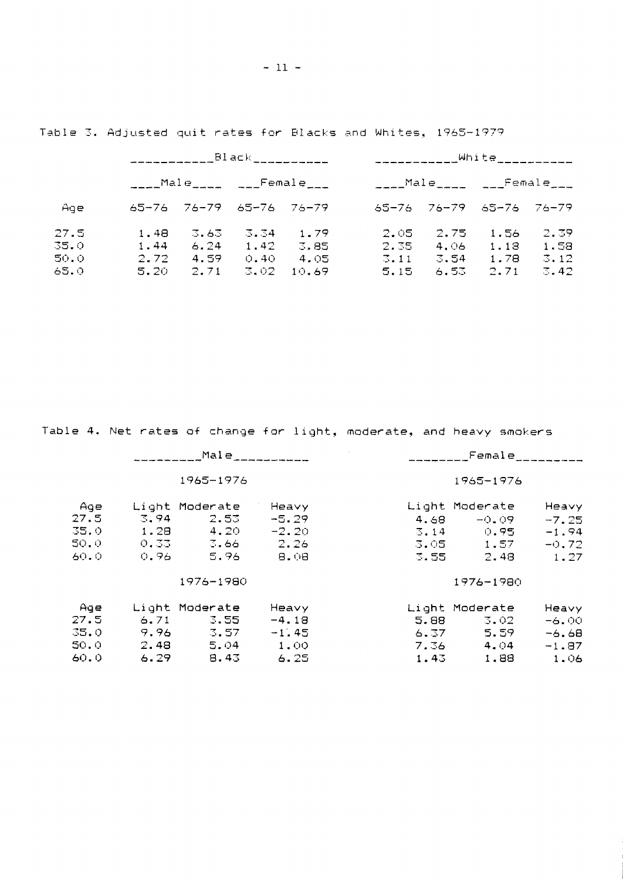|              |              |               |              | $\mathsf{Black}_{\text{max}}$ . The set of $\mathsf{Black}_{\text{max}}$                                                                                                                                                                                                                                               | White__________<br>and the state of the state of the |              |                               |                           |
|--------------|--------------|---------------|--------------|------------------------------------------------------------------------------------------------------------------------------------------------------------------------------------------------------------------------------------------------------------------------------------------------------------------------|------------------------------------------------------|--------------|-------------------------------|---------------------------|
|              |              |               |              | $\frac{1}{2}$ Male $\frac{1}{2}$ $\frac{1}{2}$ $\frac{1}{2}$ $\frac{1}{2}$ $\frac{1}{2}$ $\frac{1}{2}$ $\frac{1}{2}$ $\frac{1}{2}$ $\frac{1}{2}$ $\frac{1}{2}$ $\frac{1}{2}$ $\frac{1}{2}$ $\frac{1}{2}$ $\frac{1}{2}$ $\frac{1}{2}$ $\frac{1}{2}$ $\frac{1}{2}$ $\frac{1}{2}$ $\frac{1}{2}$ $\frac{1}{2}$ $\frac{1}{$ | ____Male_____ ___Female___                           |              |                               |                           |
| Age          | 65-76        |               | 76-79 65-76  | -76–79                                                                                                                                                                                                                                                                                                                 | 65-76                                                |              | $76 - 79 = 65 - 76 = 76 - 79$ |                           |
| 27.5<br>35.0 | 1.48<br>1.44 | 3.63.<br>6.24 | 3.34<br>1.42 | 1.79<br>3.85                                                                                                                                                                                                                                                                                                           | 2.05<br>2.35                                         | 2.75<br>4.06 | 1.56<br>1.18                  | 2.39<br>1.58              |
| 50.0<br>65.0 | 2.72<br>5.20 | 4.59<br>2.71  | 0.40<br>3.02 | 4.05<br>10.69                                                                                                                                                                                                                                                                                                          | $\sqrt{3}$ , 11<br>5.15                              | 3.54<br>6.53 | 1.78<br>2.71                  | $\mathbb{Z}$ , 12<br>3.42 |

Table 3. Adjusted quit rates for Blacks and Whites, 1965-1979

Table 4. Net rates of change for light, moderate, and heavy smokers

|      |      |                | Male $\frac{1}{2}$ | Female     |                |         |  |
|------|------|----------------|--------------------|------------|----------------|---------|--|
|      |      | 1965-1976      |                    |            | 1965-1976      |         |  |
| Age  |      | Light Moderate | Heavy              |            | Light Moderate | Heavy   |  |
| 27.5 | 3.94 | 2.53           | $-5.29$            | 4.68       | -0.09-         | $-7.25$ |  |
| 35.0 | 1.28 | -4.20          | $-2.20$            | 3.14       | 0.95           | $-1.94$ |  |
| 50.0 | 0.33 |                | 2.26               | $3.05 - 1$ | 1.57           | $-0.72$ |  |
| 60.0 | 0.96 | 5.96           | 8.08               | 3.55       | 2.48           | 1.27    |  |
|      |      | 1976-1980      |                    |            | $1976 - 1980$  |         |  |
| Age  |      | Light Moderate | Heavy              |            | Light Moderate | Heavy   |  |
| 27.5 | 6.71 | 3.55           | $-4.18$            | 5.88       | 3.02           | $-6.00$ |  |
| 35.0 | 9.96 | 3.57           | $-1.45$            | 6.37       | 5.59           | $-6.68$ |  |
| 50.0 | 2.48 | 5.04           | 1.00               | 7.36       | 4.04           | $-1.87$ |  |
| 60.0 | 6.29 | 8.43           | 6.25               | 1.43       | 1,88           | 1.06    |  |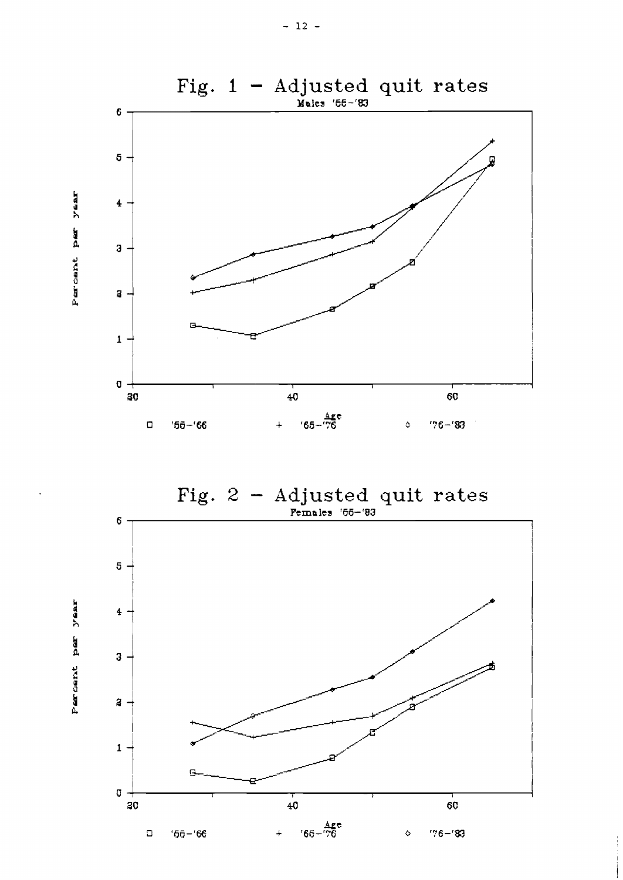

Fig.  $2 -$ Adjusted quit rates Females '55-'83



 $y$ ear

Percent per

 $-12 -$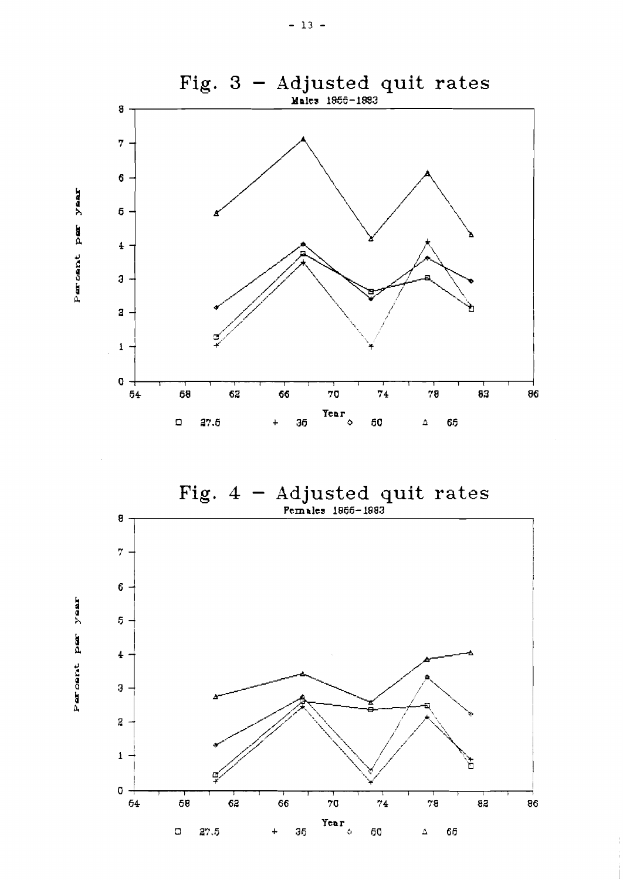

 $\text{Fig. 4 - Adjusted quit rates}$ 



Percent per year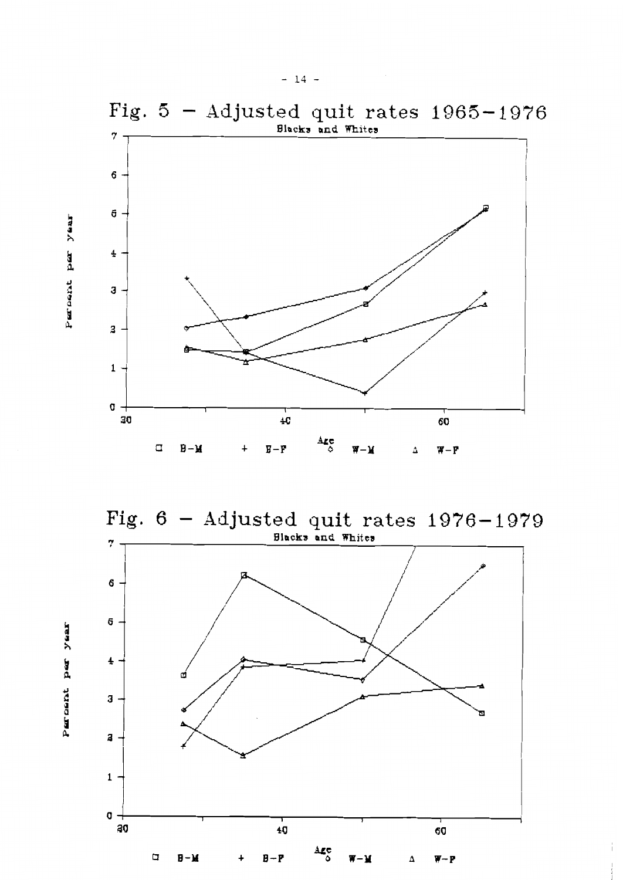

Fig.  $6$  - Adjusted quit rates  $1976 - 1979$ Blacks and Whites 7



 $y$ aar

Percent per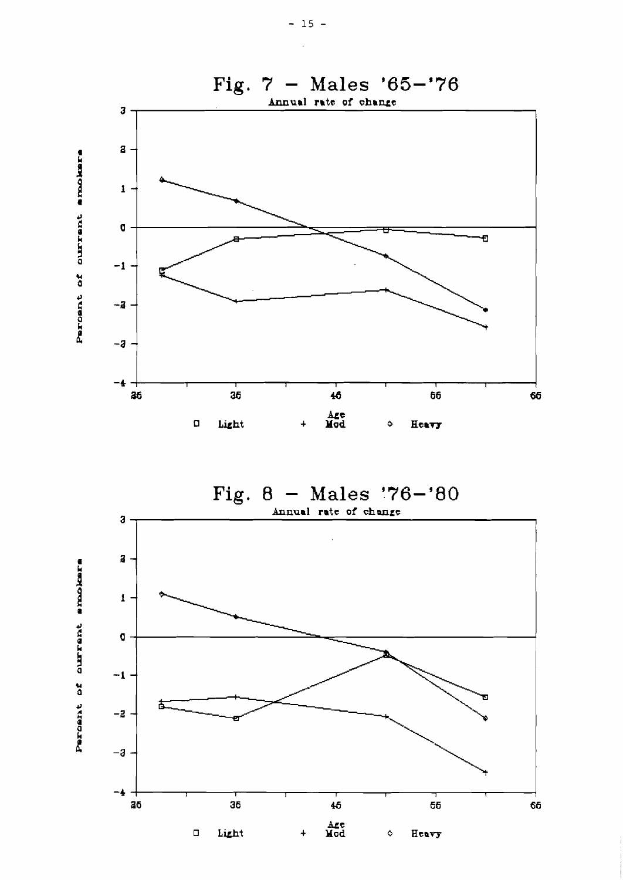



ourrent snokers Percent of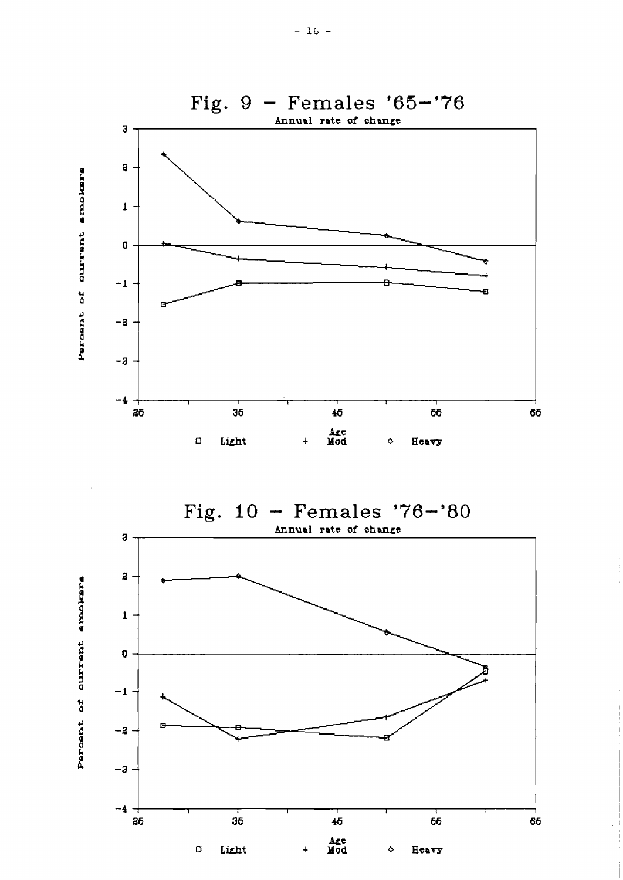

Fig.  $10 -$  Females '76-'80